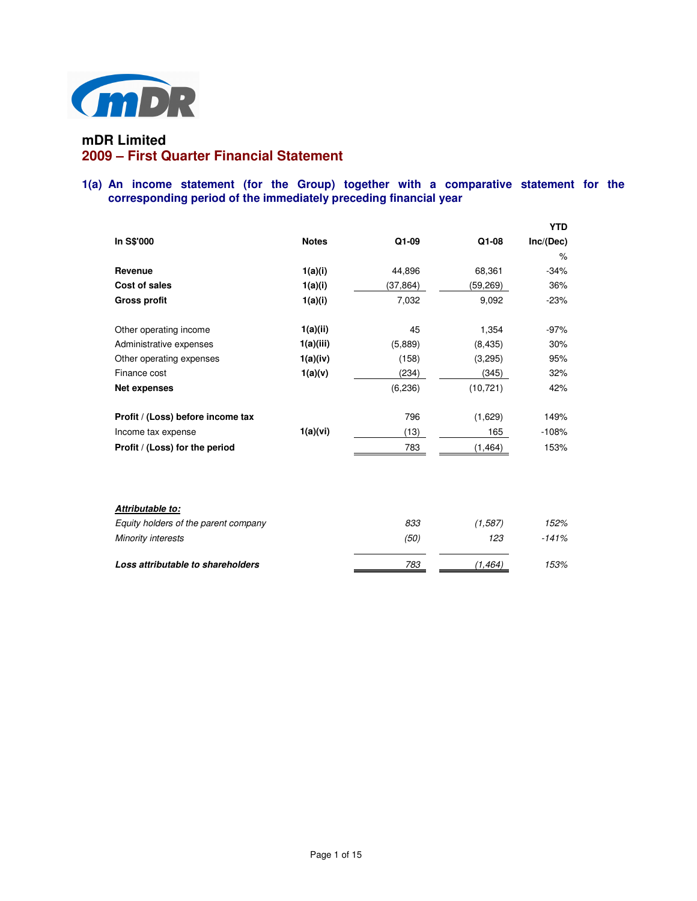

# **mDR Limited 2009 – First Quarter Financial Statement**

# **1(a) An income statement (for the Group) together with a comparative statement for the corresponding period of the immediately preceding financial year**

|                                      |              |           |           | YTD       |
|--------------------------------------|--------------|-----------|-----------|-----------|
| In S\$'000                           | <b>Notes</b> | Q1-09     | Q1-08     | Inc/(Dec) |
|                                      |              |           |           | $\%$      |
| Revenue                              | 1(a)(i)      | 44,896    | 68,361    | $-34%$    |
| Cost of sales                        | 1(a)(i)      | (37, 864) | (59,269)  | 36%       |
| <b>Gross profit</b>                  | 1(a)(i)      | 7,032     | 9,092     | $-23%$    |
| Other operating income               | 1(a)(ii)     | 45        | 1,354     | $-97%$    |
| Administrative expenses              | 1(a)(iii)    | (5,889)   | (8, 435)  | 30%       |
| Other operating expenses             | 1(a)(iv)     | (158)     | (3,295)   | 95%       |
| Finance cost                         | 1(a)(v)      | (234)     | (345)     | 32%       |
| <b>Net expenses</b>                  |              | (6, 236)  | (10, 721) | 42%       |
| Profit / (Loss) before income tax    |              | 796       | (1,629)   | 149%      |
| Income tax expense                   | 1(a)(vi)     | (13)      | 165       | $-108%$   |
| Profit / (Loss) for the period       |              | 783       | (1, 464)  | 153%      |
|                                      |              |           |           |           |
| Attributable to:                     |              |           |           |           |
| Equity holders of the parent company |              | 833       | (1.587)   | 152%      |
| Minority interests                   |              | (50)      | 123       | $-141%$   |
| Loss attributable to shareholders    |              | 783       | (1,464)   | 153%      |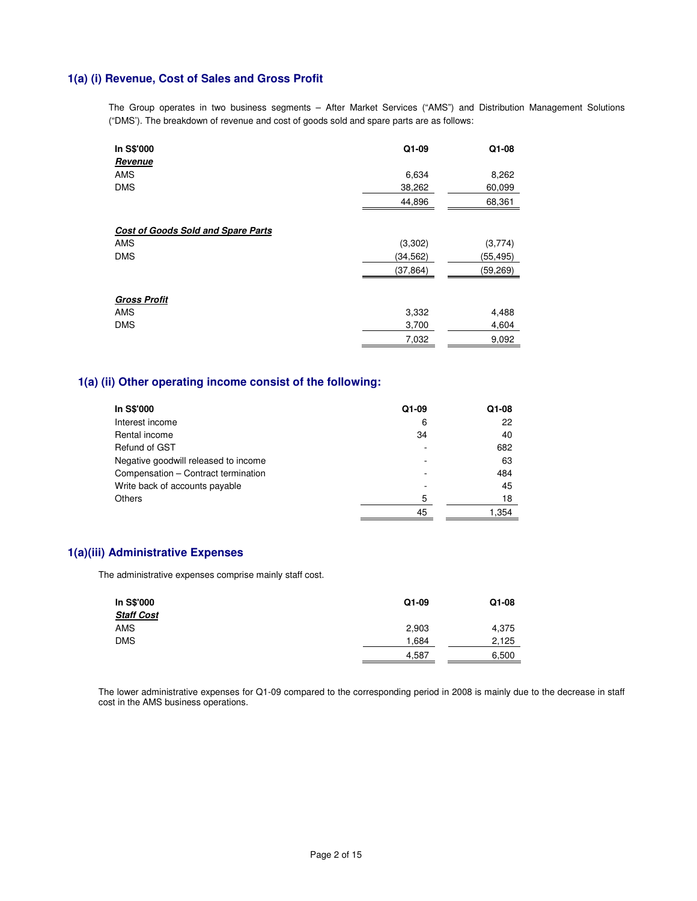## **1(a) (i) Revenue, Cost of Sales and Gross Profit**

The Group operates in two business segments – After Market Services ("AMS") and Distribution Management Solutions ("DMS'). The breakdown of revenue and cost of goods sold and spare parts are as follows:

| In S\$'000                                | $Q1-09$   | Q1-08     |
|-------------------------------------------|-----------|-----------|
| Revenue                                   |           |           |
| <b>AMS</b>                                | 6,634     | 8,262     |
| <b>DMS</b>                                | 38,262    | 60,099    |
|                                           | 44,896    | 68,361    |
| <b>Cost of Goods Sold and Spare Parts</b> |           |           |
| <b>AMS</b>                                | (3,302)   | (3,774)   |
| <b>DMS</b>                                | (34, 562) | (55, 495) |
|                                           | (37, 864) | (59,269)  |
| <b>Gross Profit</b>                       |           |           |
| <b>AMS</b>                                | 3,332     | 4,488     |
| <b>DMS</b>                                | 3,700     | 4,604     |
|                                           | 7,032     | 9,092     |

## **1(a) (ii) Other operating income consist of the following:**

| In S\$'000                           | Q1-09 | Q1-08 |
|--------------------------------------|-------|-------|
| Interest income                      | 6     | 22    |
| Rental income                        | 34    | 40    |
| Refund of GST                        |       | 682   |
| Negative goodwill released to income |       | 63    |
| Compensation - Contract termination  |       | 484   |
| Write back of accounts payable       |       | 45    |
| <b>Others</b>                        | 5     | 18    |
|                                      | 45    | 1.354 |

# **1(a)(iii) Administrative Expenses**

The administrative expenses comprise mainly staff cost.

| In S\$'000<br><b>Staff Cost</b> | Q1-09 | Q1-08 |
|---------------------------------|-------|-------|
| AMS                             | 2,903 | 4,375 |
| <b>DMS</b>                      | 1.684 | 2,125 |
|                                 | 4,587 | 6,500 |

The lower administrative expenses for Q1-09 compared to the corresponding period in 2008 is mainly due to the decrease in staff cost in the AMS business operations.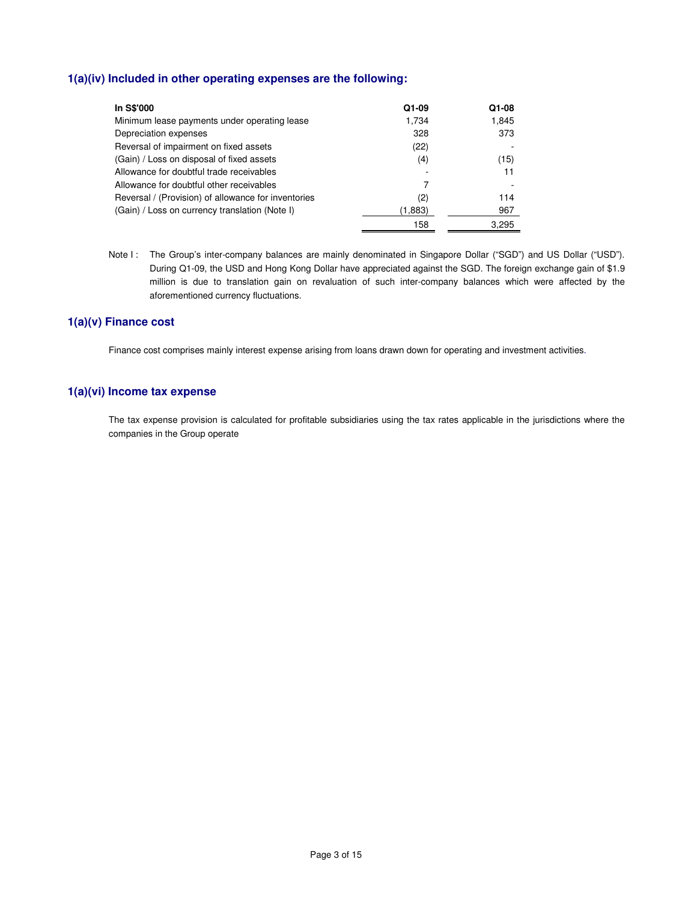# **1(a)(iv) Included in other operating expenses are the following:**

| In S\$'000                                          | Q1-09   | Q1-08 |
|-----------------------------------------------------|---------|-------|
| Minimum lease payments under operating lease        | 1.734   | 1,845 |
| Depreciation expenses                               | 328     | 373   |
| Reversal of impairment on fixed assets              | (22)    |       |
| (Gain) / Loss on disposal of fixed assets           | (4)     | (15)  |
| Allowance for doubtful trade receivables            |         | 11    |
| Allowance for doubtful other receivables            |         |       |
| Reversal / (Provision) of allowance for inventories | (2)     | 114   |
| (Gain) / Loss on currency translation (Note I)      | (1,883) | 967   |
|                                                     | 158     | 3.295 |

Note I: The Group's inter-company balances are mainly denominated in Singapore Dollar ("SGD") and US Dollar ("USD"). During Q1-09, the USD and Hong Kong Dollar have appreciated against the SGD. The foreign exchange gain of \$1.9 million is due to translation gain on revaluation of such inter-company balances which were affected by the aforementioned currency fluctuations.

### **1(a)(v) Finance cost**

Finance cost comprises mainly interest expense arising from loans drawn down for operating and investment activities.

### **1(a)(vi) Income tax expense**

The tax expense provision is calculated for profitable subsidiaries using the tax rates applicable in the jurisdictions where the companies in the Group operate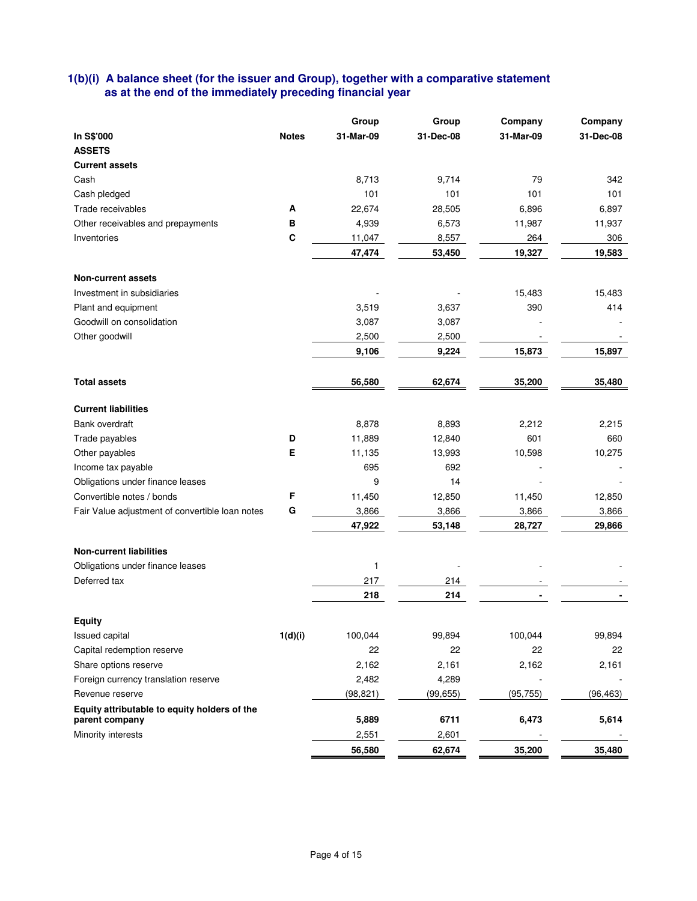# **1(b)(i) A balance sheet (for the issuer and Group), together with a comparative statement as at the end of the immediately preceding financial year**

|                                                 |              | Group     | Group     | Company   | Company   |
|-------------------------------------------------|--------------|-----------|-----------|-----------|-----------|
| In S\$'000                                      | <b>Notes</b> | 31-Mar-09 | 31-Dec-08 | 31-Mar-09 | 31-Dec-08 |
| <b>ASSETS</b>                                   |              |           |           |           |           |
| <b>Current assets</b>                           |              |           |           |           |           |
| Cash                                            |              | 8,713     | 9,714     | 79        | 342       |
| Cash pledged                                    |              | 101       | 101       | 101       | 101       |
| Trade receivables                               | A            | 22,674    | 28,505    | 6,896     | 6,897     |
| Other receivables and prepayments               | в            | 4,939     | 6,573     | 11,987    | 11,937    |
| Inventories                                     | C            | 11,047    | 8,557     | 264       | 306       |
|                                                 |              | 47,474    | 53,450    | 19,327    | 19,583    |
| <b>Non-current assets</b>                       |              |           |           |           |           |
| Investment in subsidiaries                      |              |           |           | 15,483    | 15,483    |
| Plant and equipment                             |              | 3,519     | 3,637     | 390       | 414       |
| Goodwill on consolidation                       |              | 3,087     | 3,087     |           |           |
| Other goodwill                                  |              | 2,500     | 2,500     |           |           |
|                                                 |              | 9,106     | 9,224     | 15,873    | 15,897    |
| <b>Total assets</b>                             |              | 56,580    | 62,674    | 35,200    | 35,480    |
|                                                 |              |           |           |           |           |
| <b>Current liabilities</b>                      |              |           |           |           |           |
| Bank overdraft                                  |              | 8,878     | 8,893     | 2,212     | 2,215     |
| Trade payables                                  | D            | 11,889    | 12,840    | 601       | 660       |
| Other payables                                  | Е            | 11,135    | 13,993    | 10,598    | 10,275    |
| Income tax payable                              |              | 695       | 692       |           |           |
| Obligations under finance leases                |              | 9         | 14        |           |           |
| Convertible notes / bonds                       | F            | 11,450    | 12,850    | 11,450    | 12,850    |
| Fair Value adjustment of convertible loan notes | G            | 3,866     | 3,866     | 3,866     | 3,866     |
|                                                 |              | 47,922    | 53,148    | 28,727    | 29,866    |
| <b>Non-current liabilities</b>                  |              |           |           |           |           |
| Obligations under finance leases                |              | 1         |           |           |           |
| Deferred tax                                    |              | 217       | 214       |           |           |
|                                                 |              | 218       | 214       |           |           |
| <b>Equity</b>                                   |              |           |           |           |           |
| <b>Issued capital</b>                           | 1(d)(i)      | 100,044   | 99,894    | 100,044   | 99,894    |
| Capital redemption reserve                      |              | 22        | 22        | 22        | 22        |
| Share options reserve                           |              | 2,162     | 2,161     | 2,162     | 2,161     |
| Foreign currency translation reserve            |              | 2,482     | 4,289     |           |           |
| Revenue reserve                                 |              | (98, 821) | (99, 655) | (95, 755) | (96, 463) |
| Equity attributable to equity holders of the    |              |           |           |           |           |
| parent company                                  |              | 5,889     | 6711      | 6,473     | 5,614     |
| Minority interests                              |              | 2,551     | 2,601     |           |           |
|                                                 |              | 56,580    | 62,674    | 35,200    | 35,480    |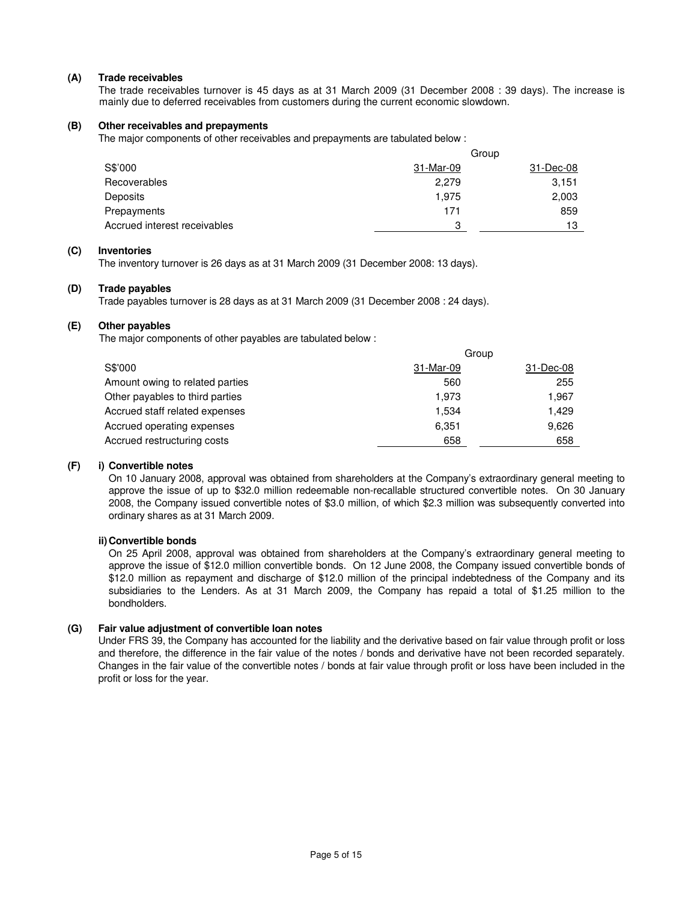### **(A) Trade receivables**

 The trade receivables turnover is 45 days as at 31 March 2009 (31 December 2008 : 39 days). The increase is mainly due to deferred receivables from customers during the current economic slowdown.

#### **(B) Other receivables and prepayments**

The major components of other receivables and prepayments are tabulated below :

|                              | Group     |           |  |
|------------------------------|-----------|-----------|--|
| S\$'000                      | 31-Mar-09 | 31-Dec-08 |  |
| Recoverables                 | 2,279     | 3,151     |  |
| Deposits                     | 1.975     | 2,003     |  |
| Prepayments                  | 171       | 859       |  |
| Accrued interest receivables | 3         | 13        |  |

### **(C) Inventories**

The inventory turnover is 26 days as at 31 March 2009 (31 December 2008: 13 days).

#### **(D) Trade payables**

Trade payables turnover is 28 days as at 31 March 2009 (31 December 2008 : 24 days).

## **(E) Other payables**

The major components of other payables are tabulated below :

|                                 | Group     |           |  |
|---------------------------------|-----------|-----------|--|
| S\$'000                         | 31-Mar-09 | 31-Dec-08 |  |
| Amount owing to related parties | 560       | 255       |  |
| Other payables to third parties | 1.973     | 1,967     |  |
| Accrued staff related expenses  | 1.534     | 1.429     |  |
| Accrued operating expenses      | 6,351     | 9,626     |  |
| Accrued restructuring costs     | 658       | 658       |  |

### **(F) i) Convertible notes**

 On 10 January 2008, approval was obtained from shareholders at the Company's extraordinary general meeting to approve the issue of up to \$32.0 million redeemable non-recallable structured convertible notes. On 30 January 2008, the Company issued convertible notes of \$3.0 million, of which \$2.3 million was subsequently converted into ordinary shares as at 31 March 2009.

### **ii) Convertible bonds**

 On 25 April 2008, approval was obtained from shareholders at the Company's extraordinary general meeting to approve the issue of \$12.0 million convertible bonds. On 12 June 2008, the Company issued convertible bonds of \$12.0 million as repayment and discharge of \$12.0 million of the principal indebtedness of the Company and its subsidiaries to the Lenders. As at 31 March 2009, the Company has repaid a total of \$1.25 million to the bondholders.

#### **(G) Fair value adjustment of convertible loan notes**

Under FRS 39, the Company has accounted for the liability and the derivative based on fair value through profit or loss and therefore, the difference in the fair value of the notes / bonds and derivative have not been recorded separately. Changes in the fair value of the convertible notes / bonds at fair value through profit or loss have been included in the profit or loss for the year.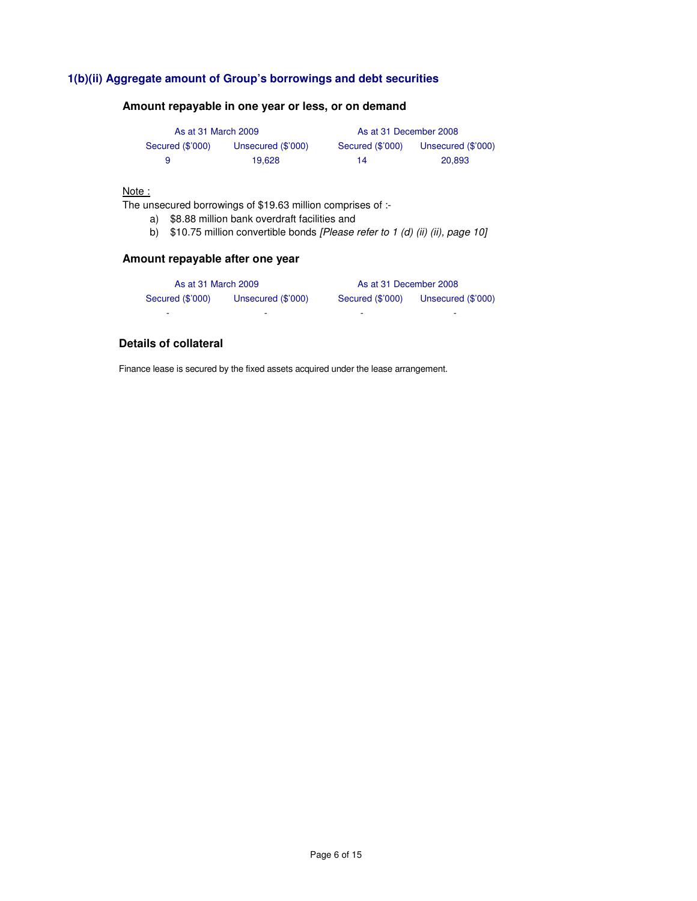# **1(b)(ii) Aggregate amount of Group's borrowings and debt securities**

### **Amount repayable in one year or less, or on demand**

| As at 31 March 2009 |                    | As at 31 December 2008 |                    |
|---------------------|--------------------|------------------------|--------------------|
| Secured (\$'000)    | Unsecured (\$'000) | Secured (\$'000)       | Unsecured (\$'000) |
| 9                   | 19.628             | 14                     | 20.893             |

### Note:

The unsecured borrowings of \$19.63 million comprises of :-

- a) \$8.88 million bank overdraft facilities and
- b)  $$10.75$  million convertible bonds [Please refer to 1 (d) (ii) (ii), page 10]

# **Amount repayable after one year**

| As at 31 March 2009 |                    | As at 31 December 2008 |                    |
|---------------------|--------------------|------------------------|--------------------|
| Secured (\$'000)    | Unsecured (\$'000) | Secured (\$'000)       | Unsecured (\$'000) |
| -                   |                    |                        |                    |

### **Details of collateral**

Finance lease is secured by the fixed assets acquired under the lease arrangement.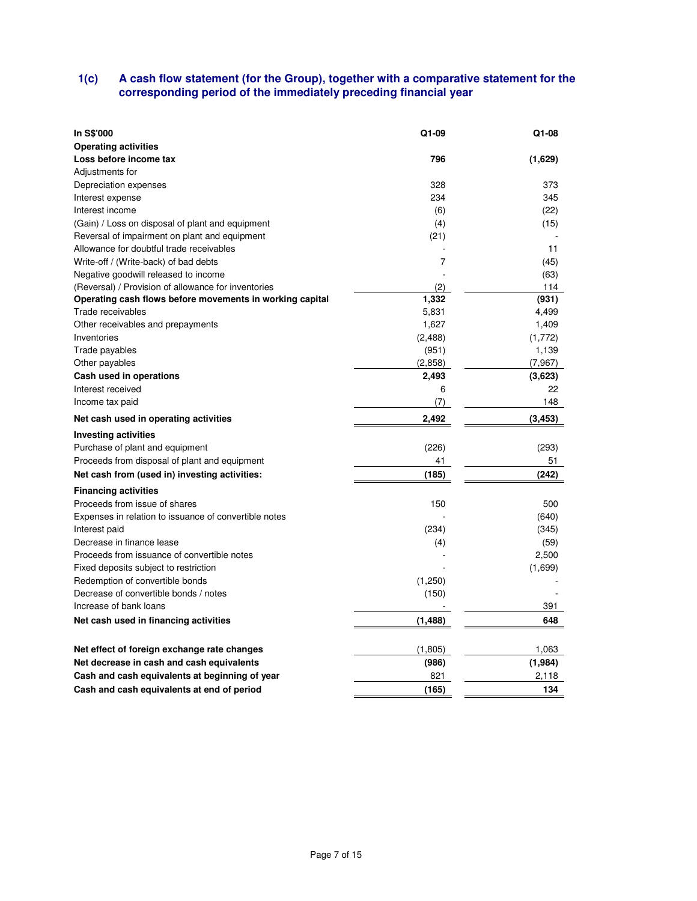### **1(c) A cash flow statement (for the Group), together with a comparative statement for the corresponding period of the immediately preceding financial year**

| In S\$'000                                                               | Q1-09          | Q1-08         |
|--------------------------------------------------------------------------|----------------|---------------|
| <b>Operating activities</b>                                              |                |               |
| Loss before income tax                                                   | 796            | (1,629)       |
| Adjustments for                                                          |                |               |
| Depreciation expenses                                                    | 328            | 373           |
| Interest expense                                                         | 234            | 345           |
| Interest income                                                          | (6)            | (22)          |
| (Gain) / Loss on disposal of plant and equipment                         | (4)            | (15)          |
| Reversal of impairment on plant and equipment                            | (21)           |               |
| Allowance for doubtful trade receivables                                 |                | 11            |
| Write-off / (Write-back) of bad debts                                    | $\overline{7}$ | (45)          |
| Negative goodwill released to income                                     |                | (63)          |
| (Reversal) / Provision of allowance for inventories                      | (2)            | 114           |
| Operating cash flows before movements in working capital                 | 1,332          | (931)         |
| Trade receivables                                                        | 5,831          | 4,499         |
| Other receivables and prepayments                                        | 1,627          | 1,409         |
| Inventories                                                              | (2, 488)       | (1,772)       |
| Trade payables                                                           | (951)          | 1,139         |
| Other payables                                                           | (2,858)        | (7,967)       |
| Cash used in operations                                                  | 2,493          | (3,623)       |
| Interest received                                                        | 6              | 22            |
| Income tax paid                                                          | (7)            | 148           |
| Net cash used in operating activities                                    | 2,492          | (3, 453)      |
| <b>Investing activities</b>                                              |                |               |
| Purchase of plant and equipment                                          | (226)          | (293)         |
| Proceeds from disposal of plant and equipment                            | 41             | 51            |
|                                                                          |                |               |
| Net cash from (used in) investing activities:                            | (185)          | (242)         |
|                                                                          |                |               |
| <b>Financing activities</b><br>Proceeds from issue of shares             | 150            | 500           |
|                                                                          |                |               |
| Expenses in relation to issuance of convertible notes                    |                | (640)         |
| Interest paid<br>Decrease in finance lease                               | (234)          | (345)         |
| Proceeds from issuance of convertible notes                              | (4)            | (59)<br>2,500 |
|                                                                          |                |               |
| Fixed deposits subject to restriction                                    |                | (1,699)       |
| Redemption of convertible bonds<br>Decrease of convertible bonds / notes | (1,250)        |               |
| Increase of bank loans                                                   | (150)          | 391           |
| Net cash used in financing activities                                    | (1, 488)       | 648           |
|                                                                          |                |               |
| Net effect of foreign exchange rate changes                              | (1, 805)       | 1.063         |
| Net decrease in cash and cash equivalents                                | (986)          | (1,984)       |
| Cash and cash equivalents at beginning of year                           | 821            | 2,118         |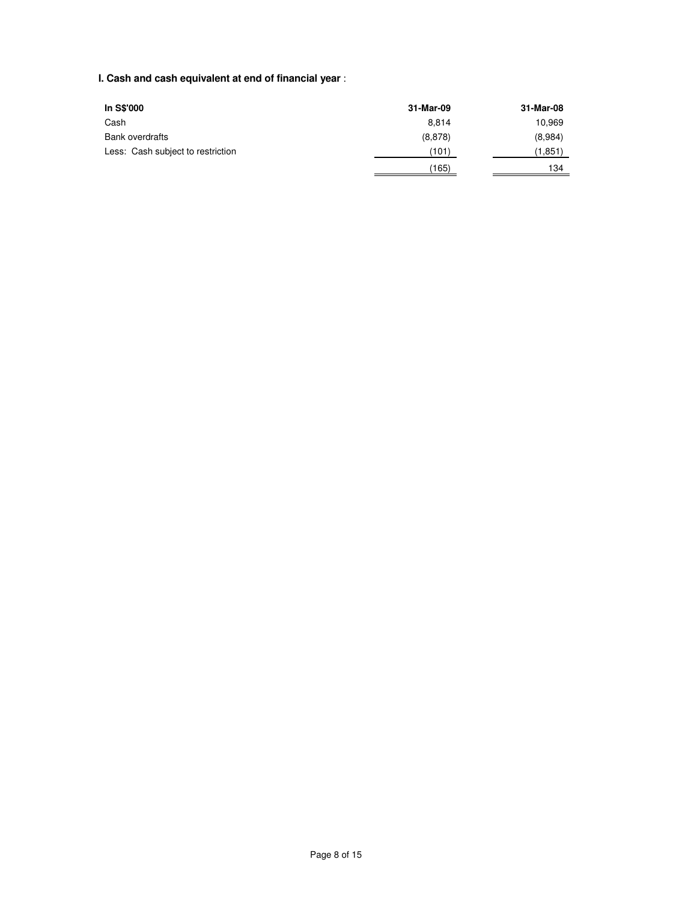# **I. Cash and cash equivalent at end of financial year** :

| In S\$'000                        | 31-Mar-09 | 31-Mar-08 |
|-----------------------------------|-----------|-----------|
| Cash                              | 8.814     | 10,969    |
| <b>Bank overdrafts</b>            | (8,878)   | (8,984)   |
| Less: Cash subject to restriction | (101)     | (1,851)   |
|                                   | (165)     | 134       |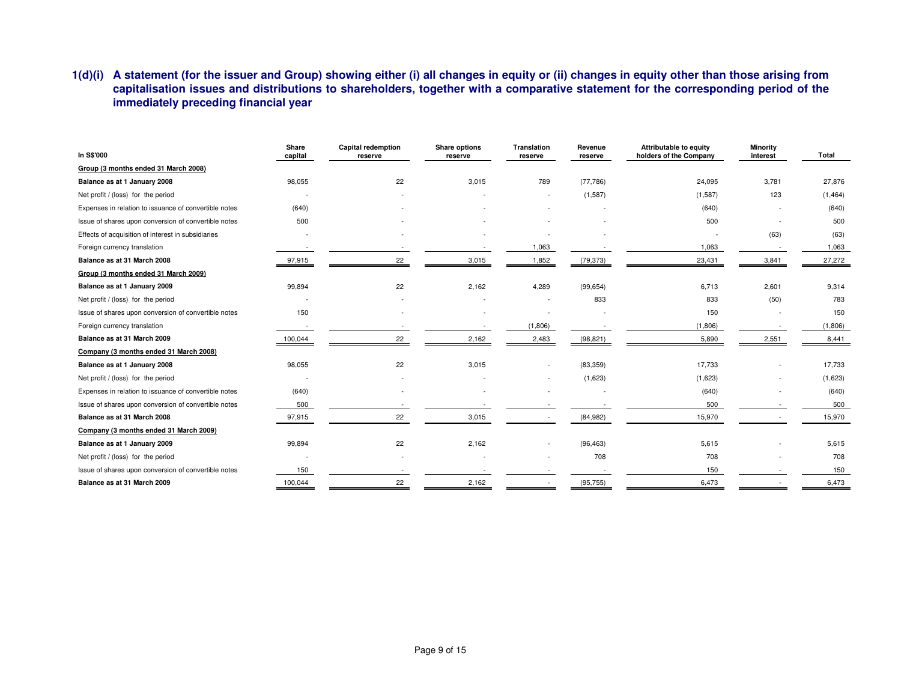# **1(d)(i) A statement (for the issuer and Group) showing either (i) all changes in equity or (ii) changes in equity other than those arising from capitalisation issues and distributions to shareholders, together with a comparative statement for the corresponding period of the immediately preceding financial year**

| In S\$'000                                            | Share<br>capital | <b>Capital redemption</b><br>reserve | Share options<br>reserve | <b>Translation</b><br>reserve | Revenue<br>reserve | <b>Attributable to equity</b><br>holders of the Company | Minority<br>interest | <b>Total</b> |
|-------------------------------------------------------|------------------|--------------------------------------|--------------------------|-------------------------------|--------------------|---------------------------------------------------------|----------------------|--------------|
| Group (3 months ended 31 March 2008)                  |                  |                                      |                          |                               |                    |                                                         |                      |              |
| Balance as at 1 January 2008                          | 98,055           | 22                                   | 3,015                    | 789                           | (77, 786)          | 24,095                                                  | 3,781                | 27,876       |
| Net profit / (loss) for the period                    |                  |                                      |                          |                               | (1,587)            | (1,587)                                                 | 123                  | (1, 464)     |
| Expenses in relation to issuance of convertible notes | (640)            |                                      |                          |                               |                    | (640)                                                   |                      | (640)        |
| Issue of shares upon conversion of convertible notes  | 500              |                                      |                          |                               |                    | 500                                                     |                      | 500          |
| Effects of acquisition of interest in subsidiaries    |                  |                                      |                          |                               |                    |                                                         | (63)                 | (63)         |
| Foreign currency translation                          |                  |                                      |                          | 1,063                         |                    | 1,063                                                   |                      | 1,063        |
| Balance as at 31 March 2008                           | 97,915           | 22                                   | 3,015                    | 1,852                         | (79, 373)          | 23,431                                                  | 3,841                | 27,272       |
| Group (3 months ended 31 March 2009)                  |                  |                                      |                          |                               |                    |                                                         |                      |              |
| Balance as at 1 January 2009                          | 99,894           | 22                                   | 2,162                    | 4,289                         | (99, 654)          | 6.713                                                   | 2,601                | 9,314        |
| Net profit / (loss) for the period                    |                  |                                      |                          |                               | 833                | 833                                                     | (50)                 | 783          |
| Issue of shares upon conversion of convertible notes  | 150              |                                      |                          |                               |                    | 150                                                     |                      | 150          |
| Foreign currency translation                          |                  |                                      |                          | (1,806)                       |                    | (1,806)                                                 |                      | (1,806)      |
| Balance as at 31 March 2009                           | 100,044          | 22                                   | 2,162                    | 2,483                         | (98, 821)          | 5,890                                                   | 2,551                | 8,441        |
| Company (3 months ended 31 March 2008)                |                  |                                      |                          |                               |                    |                                                         |                      |              |
| Balance as at 1 January 2008                          | 98,055           | 22                                   | 3,015                    |                               | (83, 359)          | 17,733                                                  |                      | 17,733       |
| Net profit / (loss) for the period                    |                  |                                      |                          |                               | (1,623)            | (1,623)                                                 |                      | (1,623)      |
| Expenses in relation to issuance of convertible notes | (640)            |                                      |                          |                               |                    | (640)                                                   |                      | (640)        |
| Issue of shares upon conversion of convertible notes  | 500              |                                      |                          |                               |                    | 500                                                     |                      | 500          |
| Balance as at 31 March 2008                           | 97,915           | 22                                   | 3,015                    |                               | (84, 982)          | 15,970                                                  |                      | 15,970       |
| Company (3 months ended 31 March 2009)                |                  |                                      |                          |                               |                    |                                                         |                      |              |
| Balance as at 1 January 2009                          | 99,894           | 22                                   | 2,162                    |                               | (96, 463)          | 5,615                                                   |                      | 5,615        |
| Net profit / (loss) for the period                    |                  |                                      |                          |                               | 708                | 708                                                     |                      | 708          |
| Issue of shares upon conversion of convertible notes  | 150              |                                      |                          |                               |                    | 150                                                     |                      | 150          |
| Balance as at 31 March 2009                           | 100,044          | 22                                   | 2,162                    |                               | (95, 755)          | 6,473                                                   |                      | 6,473        |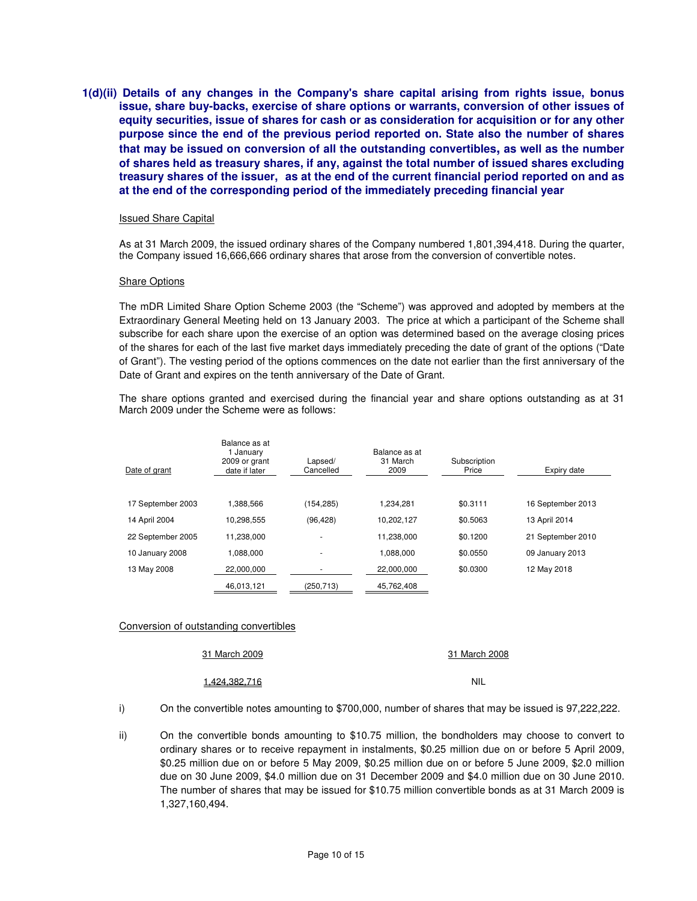**1(d)(ii) Details of any changes in the Company's share capital arising from rights issue, bonus issue, share buy-backs, exercise of share options or warrants, conversion of other issues of equity securities, issue of shares for cash or as consideration for acquisition or for any other purpose since the end of the previous period reported on. State also the number of shares that may be issued on conversion of all the outstanding convertibles, as well as the number of shares held as treasury shares, if any, against the total number of issued shares excluding treasury shares of the issuer, as at the end of the current financial period reported on and as at the end of the corresponding period of the immediately preceding financial year** 

#### Issued Share Capital

As at 31 March 2009, the issued ordinary shares of the Company numbered 1,801,394,418. During the quarter, the Company issued 16,666,666 ordinary shares that arose from the conversion of convertible notes.

#### Share Options

The mDR Limited Share Option Scheme 2003 (the "Scheme") was approved and adopted by members at the Extraordinary General Meeting held on 13 January 2003. The price at which a participant of the Scheme shall subscribe for each share upon the exercise of an option was determined based on the average closing prices of the shares for each of the last five market days immediately preceding the date of grant of the options ("Date of Grant"). The vesting period of the options commences on the date not earlier than the first anniversary of the Date of Grant and expires on the tenth anniversary of the Date of Grant.

The share options granted and exercised during the financial year and share options outstanding as at 31 March 2009 under the Scheme were as follows:

| Date of grant     | Balance as at<br>1 January<br>2009 or grant<br>date if later | Lapsed/<br>Cancelled     | Balance as at<br>31 March<br>2009 | Subscription<br>Price | Expiry date       |
|-------------------|--------------------------------------------------------------|--------------------------|-----------------------------------|-----------------------|-------------------|
| 17 September 2003 | 1.388.566                                                    | (154, 285)               | 1.234.281                         | \$0.3111              | 16 September 2013 |
| 14 April 2004     | 10.298.555                                                   | (96, 428)                | 10,202,127                        | \$0.5063              | 13 April 2014     |
| 22 September 2005 | 11.238.000                                                   | $\overline{\phantom{a}}$ | 11,238,000                        | \$0.1200              | 21 September 2010 |
| 10 January 2008   | 1.088.000                                                    | $\overline{\phantom{a}}$ | 1.088.000                         | \$0.0550              | 09 January 2013   |
| 13 May 2008       | 22.000.000                                                   |                          | 22.000.000                        | \$0.0300              | 12 May 2018       |
|                   | 46,013,121                                                   | (250,713)                | 45,762,408                        |                       |                   |

### Conversion of outstanding convertibles

31 March 2009 31 March 2008

1,424,382,716 NIL

i) On the convertible notes amounting to \$700,000, number of shares that may be issued is 97,222,222.

ii) On the convertible bonds amounting to \$10.75 million, the bondholders may choose to convert to ordinary shares or to receive repayment in instalments, \$0.25 million due on or before 5 April 2009, \$0.25 million due on or before 5 May 2009, \$0.25 million due on or before 5 June 2009, \$2.0 million due on 30 June 2009, \$4.0 million due on 31 December 2009 and \$4.0 million due on 30 June 2010. The number of shares that may be issued for \$10.75 million convertible bonds as at 31 March 2009 is 1,327,160,494.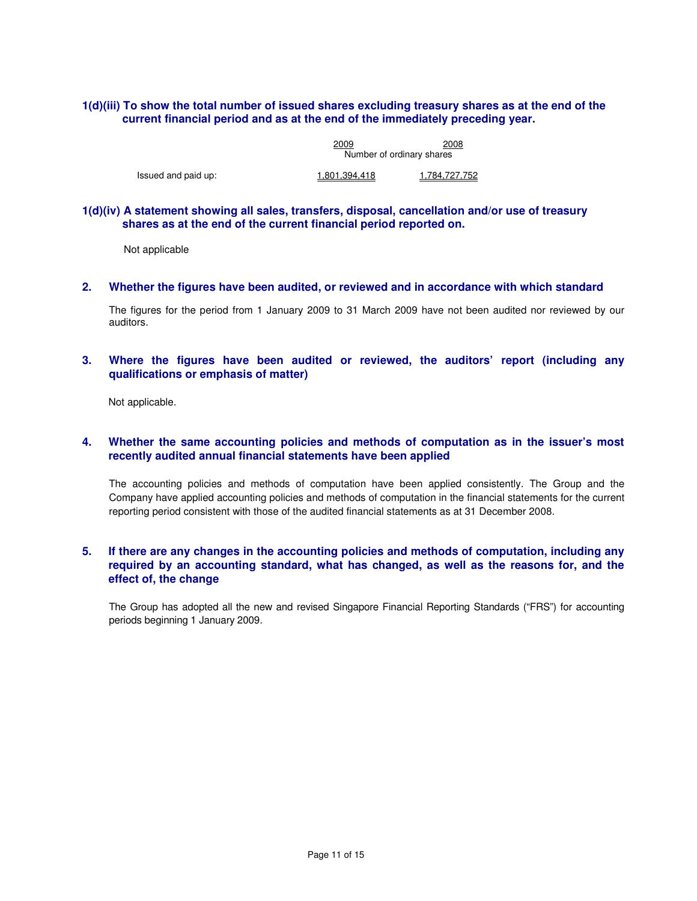## **1(d)(iii) To show the total number of issued shares excluding treasury shares as at the end of the current financial period and as at the end of the immediately preceding year.**

|                     | 2009                      | 2008          |  |
|---------------------|---------------------------|---------------|--|
|                     | Number of ordinary shares |               |  |
| Issued and paid up: | 1.801.394.418             | 1.784.727.752 |  |

### **1(d)(iv) A statement showing all sales, transfers, disposal, cancellation and/or use of treasury shares as at the end of the current financial period reported on.**

Not applicable

### **2. Whether the figures have been audited, or reviewed and in accordance with which standard**

The figures for the period from 1 January 2009 to 31 March 2009 have not been audited nor reviewed by our auditors.

## **3. Where the figures have been audited or reviewed, the auditors' report (including any qualifications or emphasis of matter)**

Not applicable.

## **4. Whether the same accounting policies and methods of computation as in the issuer's most recently audited annual financial statements have been applied**

The accounting policies and methods of computation have been applied consistently. The Group and the Company have applied accounting policies and methods of computation in the financial statements for the current reporting period consistent with those of the audited financial statements as at 31 December 2008.

## **5. If there are any changes in the accounting policies and methods of computation, including any required by an accounting standard, what has changed, as well as the reasons for, and the effect of, the change**

The Group has adopted all the new and revised Singapore Financial Reporting Standards ("FRS") for accounting periods beginning 1 January 2009.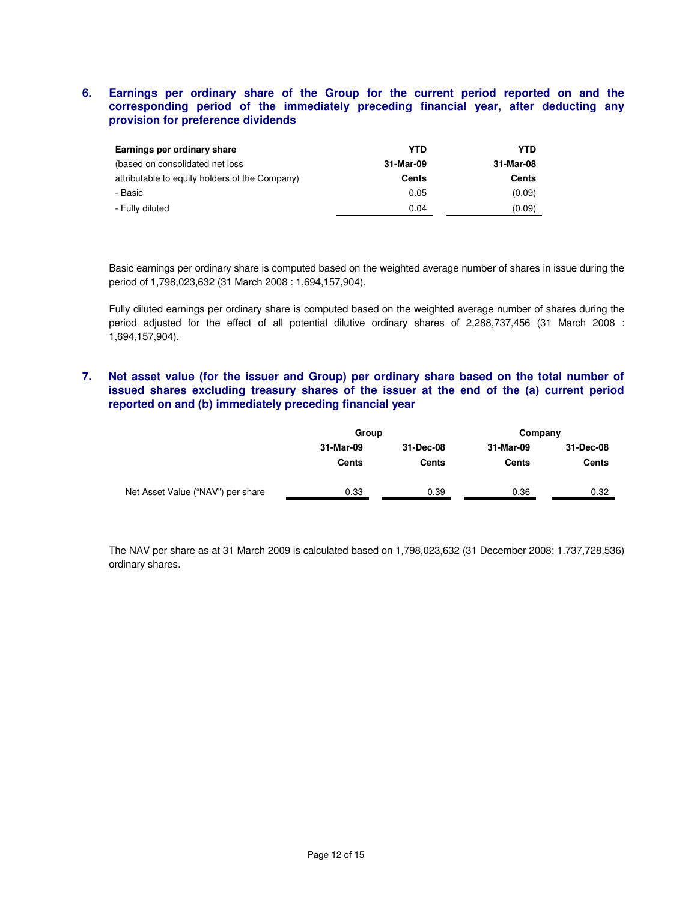## **6. Earnings per ordinary share of the Group for the current period reported on and the corresponding period of the immediately preceding financial year, after deducting any provision for preference dividends**

| Earnings per ordinary share                    | YTD       | YTD          |
|------------------------------------------------|-----------|--------------|
| (based on consolidated net loss)               | 31-Mar-09 | 31-Mar-08    |
| attributable to equity holders of the Company) | Cents     | <b>Cents</b> |
| - Basic                                        | 0.05      | (0.09)       |
| - Fully diluted                                | 0.04      | (0.09)       |

Basic earnings per ordinary share is computed based on the weighted average number of shares in issue during the period of 1,798,023,632 (31 March 2008 : 1,694,157,904).

Fully diluted earnings per ordinary share is computed based on the weighted average number of shares during the period adjusted for the effect of all potential dilutive ordinary shares of 2,288,737,456 (31 March 2008 : 1,694,157,904).

# **7. Net asset value (for the issuer and Group) per ordinary share based on the total number of issued shares excluding treasury shares of the issuer at the end of the (a) current period reported on and (b) immediately preceding financial year**

|                                   | Group                     |                           | Company            |                    |  |
|-----------------------------------|---------------------------|---------------------------|--------------------|--------------------|--|
|                                   | 31-Mar-09<br><b>Cents</b> | 31-Dec-08<br><b>Cents</b> | 31-Mar-09<br>Cents | 31-Dec-08<br>Cents |  |
| Net Asset Value ("NAV") per share | 0.33                      | 0.39                      | 0.36               | 0.32               |  |

The NAV per share as at 31 March 2009 is calculated based on 1,798,023,632 (31 December 2008: 1.737,728,536) ordinary shares.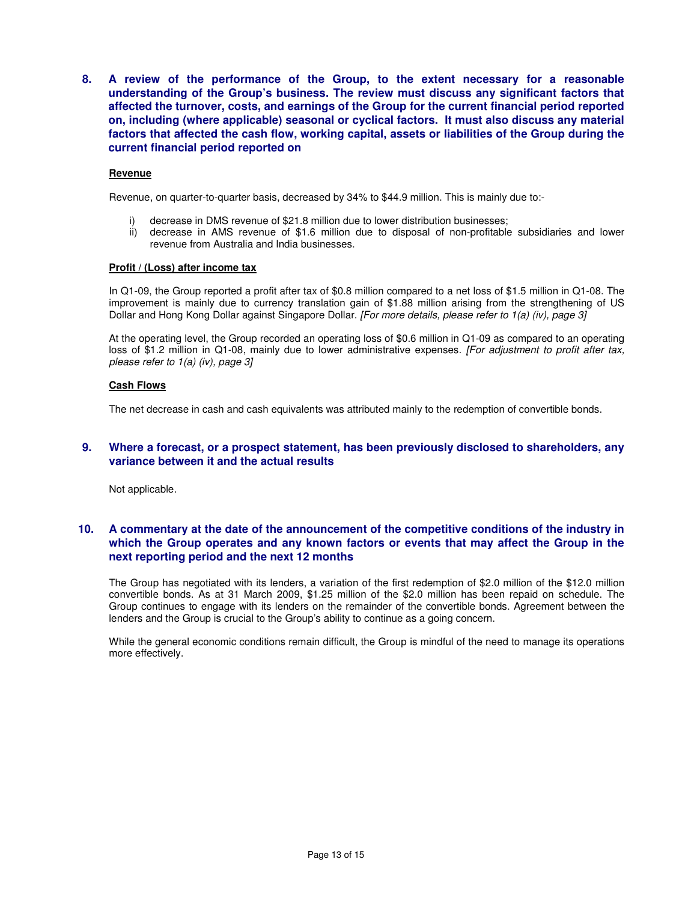**8. A review of the performance of the Group, to the extent necessary for a reasonable understanding of the Group's business. The review must discuss any significant factors that affected the turnover, costs, and earnings of the Group for the current financial period reported on, including (where applicable) seasonal or cyclical factors. It must also discuss any material factors that affected the cash flow, working capital, assets or liabilities of the Group during the current financial period reported on** 

### **Revenue**

Revenue, on quarter-to-quarter basis, decreased by 34% to \$44.9 million. This is mainly due to:-

- i) decrease in DMS revenue of \$21.8 million due to lower distribution businesses;
- ii) decrease in AMS revenue of \$1.6 million due to disposal of non-profitable subsidiaries and lower revenue from Australia and India businesses.

#### **Profit / (Loss) after income tax**

In Q1-09, the Group reported a profit after tax of \$0.8 million compared to a net loss of \$1.5 million in Q1-08. The improvement is mainly due to currency translation gain of \$1.88 million arising from the strengthening of US Dollar and Hong Kong Dollar against Singapore Dollar. [For more details, please refer to 1(a) (iv), page 3]

At the operating level, the Group recorded an operating loss of \$0.6 million in Q1-09 as compared to an operating loss of \$1.2 million in Q1-08, mainly due to lower administrative expenses. [For adjustment to profit after tax, please refer to 1(a) (iv), page 3]

### **Cash Flows**

The net decrease in cash and cash equivalents was attributed mainly to the redemption of convertible bonds.

### **9. Where a forecast, or a prospect statement, has been previously disclosed to shareholders, any variance between it and the actual results**

Not applicable.

## **10. A commentary at the date of the announcement of the competitive conditions of the industry in which the Group operates and any known factors or events that may affect the Group in the next reporting period and the next 12 months**

The Group has negotiated with its lenders, a variation of the first redemption of \$2.0 million of the \$12.0 million convertible bonds. As at 31 March 2009, \$1.25 million of the \$2.0 million has been repaid on schedule. The Group continues to engage with its lenders on the remainder of the convertible bonds. Agreement between the lenders and the Group is crucial to the Group's ability to continue as a going concern.

While the general economic conditions remain difficult, the Group is mindful of the need to manage its operations more effectively.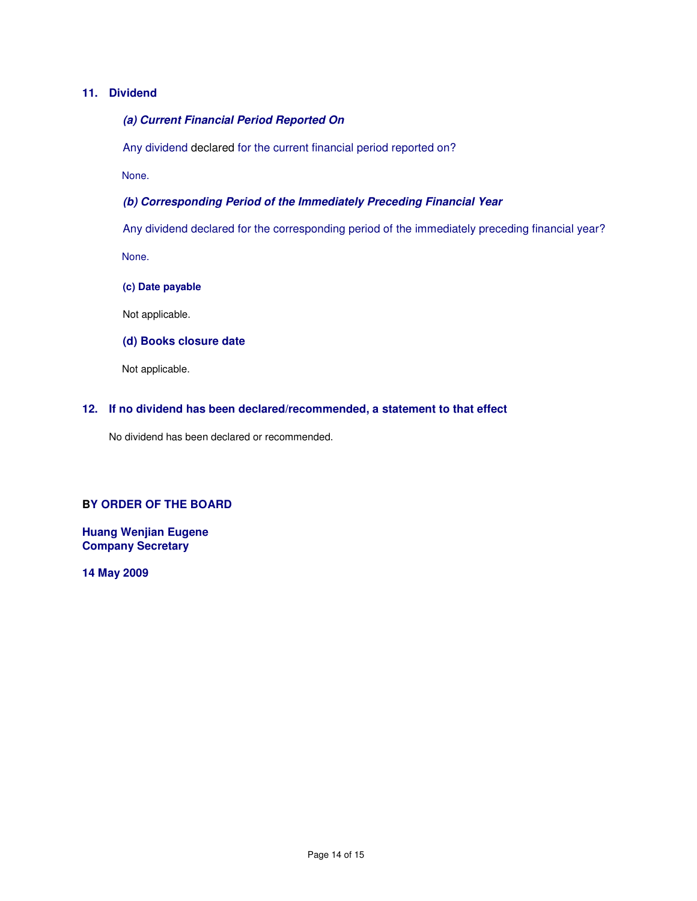# **11. Dividend**

```
(a) Current Financial Period Reported On
```
Any dividend declared for the current financial period reported on?

None.

# **(b) Corresponding Period of the Immediately Preceding Financial Year**

Any dividend declared for the corresponding period of the immediately preceding financial year? None.

**(c) Date payable** 

Not applicable.

# **(d) Books closure date**

Not applicable.

# **12. If no dividend has been declared/recommended, a statement to that effect**

No dividend has been declared or recommended.

### **BY ORDER OF THE BOARD**

**Huang Wenjian Eugene Company Secretary** 

**14 May 2009**